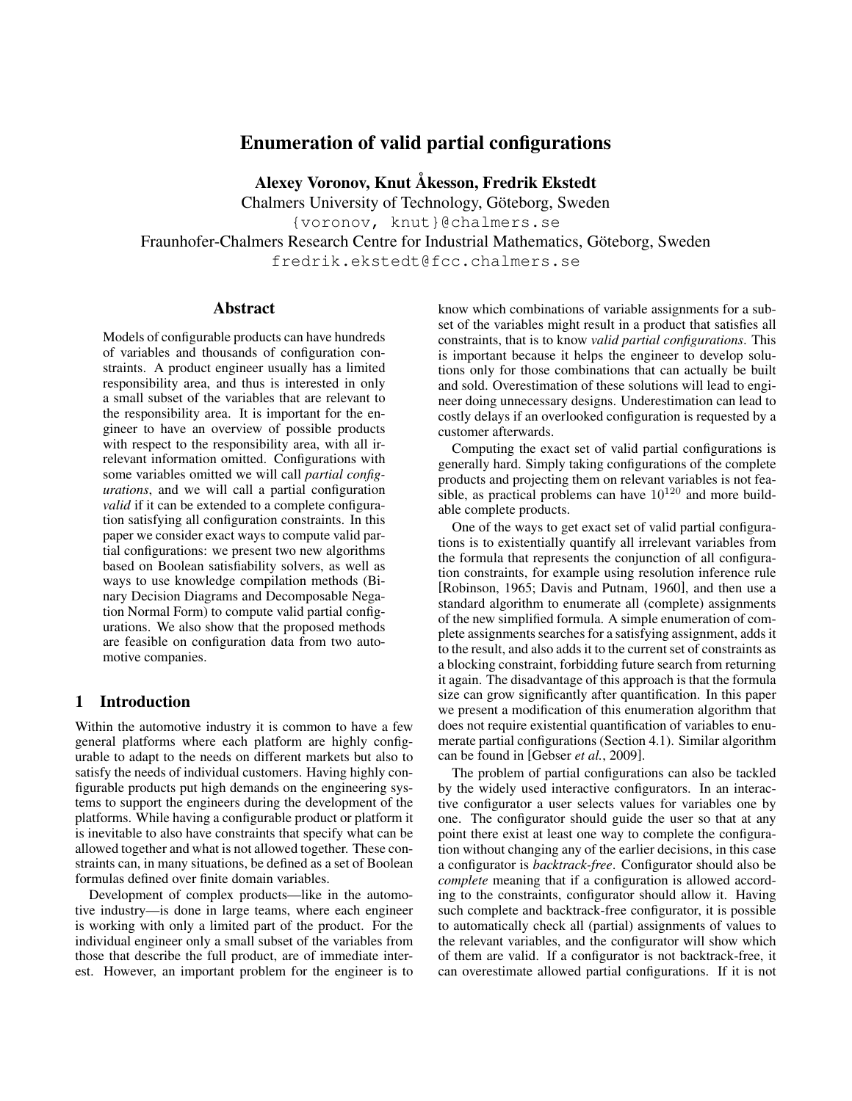# Enumeration of valid partial configurations

Alexey Voronov, Knut Åkesson, Fredrik Ekstedt

Chalmers University of Technology, Göteborg, Sweden

{voronov, knut}@chalmers.se

<span id="page-0-0"></span>Fraunhofer-Chalmers Research Centre for Industrial Mathematics, Göteborg, Sweden fredrik.ekstedt@fcc.chalmers.se

#### Abstract

Models of configurable products can have hundreds of variables and thousands of configuration constraints. A product engineer usually has a limited responsibility area, and thus is interested in only a small subset of the variables that are relevant to the responsibility area. It is important for the engineer to have an overview of possible products with respect to the responsibility area, with all irrelevant information omitted. Configurations with some variables omitted we will call *partial configurations*, and we will call a partial configuration *valid* if it can be extended to a complete configuration satisfying all configuration constraints. In this paper we consider exact ways to compute valid partial configurations: we present two new algorithms based on Boolean satisfiability solvers, as well as ways to use knowledge compilation methods (Binary Decision Diagrams and Decomposable Negation Normal Form) to compute valid partial configurations. We also show that the proposed methods are feasible on configuration data from two automotive companies.

### 1 Introduction

Within the automotive industry it is common to have a few general platforms where each platform are highly configurable to adapt to the needs on different markets but also to satisfy the needs of individual customers. Having highly configurable products put high demands on the engineering systems to support the engineers during the development of the platforms. While having a configurable product or platform it is inevitable to also have constraints that specify what can be allowed together and what is not allowed together. These constraints can, in many situations, be defined as a set of Boolean formulas defined over finite domain variables.

Development of complex products—like in the automotive industry—is done in large teams, where each engineer is working with only a limited part of the product. For the individual engineer only a small subset of the variables from those that describe the full product, are of immediate interest. However, an important problem for the engineer is to know which combinations of variable assignments for a subset of the variables might result in a product that satisfies all constraints, that is to know *valid partial configurations*. This is important because it helps the engineer to develop solutions only for those combinations that can actually be built and sold. Overestimation of these solutions will lead to engineer doing unnecessary designs. Underestimation can lead to costly delays if an overlooked configuration is requested by a customer afterwards.

Computing the exact set of valid partial configurations is generally hard. Simply taking configurations of the complete products and projecting them on relevant variables is not feasible, as practical problems can have  $10^{120}$  and more buildable complete products.

One of the ways to get exact set of valid partial configurations is to existentially quantify all irrelevant variables from the formula that represents the conjunction of all configuration constraints, for example using resolution inference rule [\[Robinson, 1965;](#page-6-0) [Davis and Putnam, 1960\]](#page-5-0), and then use a standard algorithm to enumerate all (complete) assignments of the new simplified formula. A simple enumeration of complete assignments searches for a satisfying assignment, adds it to the result, and also adds it to the current set of constraints as a blocking constraint, forbidding future search from returning it again. The disadvantage of this approach is that the formula size can grow significantly after quantification. In this paper we present a modification of this enumeration algorithm that does not require existential quantification of variables to enumerate partial configurations (Section [4.1\)](#page-2-0). Similar algorithm can be found in [\[Gebser](#page-5-1) *et al.*, 2009].

The problem of partial configurations can also be tackled by the widely used interactive configurators. In an interactive configurator a user selects values for variables one by one. The configurator should guide the user so that at any point there exist at least one way to complete the configuration without changing any of the earlier decisions, in this case a configurator is *backtrack-free*. Configurator should also be *complete* meaning that if a configuration is allowed according to the constraints, configurator should allow it. Having such complete and backtrack-free configurator, it is possible to automatically check all (partial) assignments of values to the relevant variables, and the configurator will show which of them are valid. If a configurator is not backtrack-free, it can overestimate allowed partial configurations. If it is not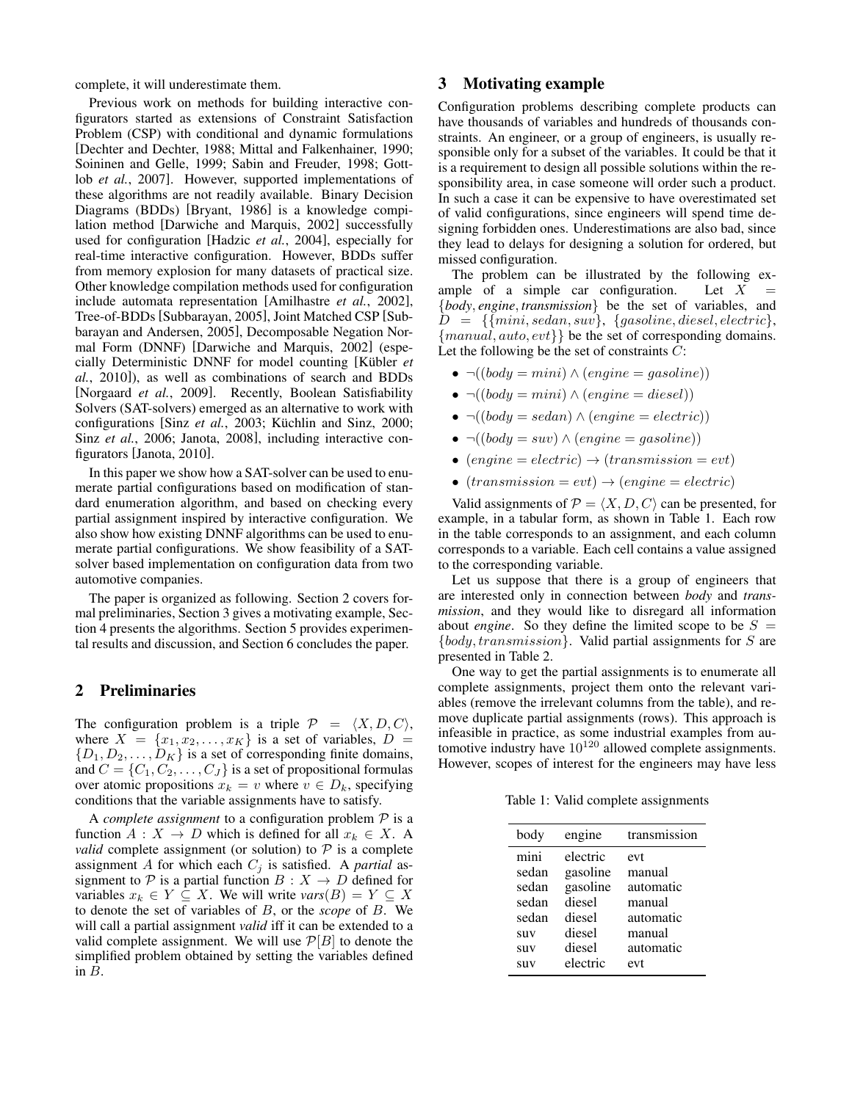complete, it will underestimate them.

Previous work on methods for building interactive configurators started as extensions of Constraint Satisfaction Problem (CSP) with conditional and dynamic formulations [\[Dechter and Dechter, 1988;](#page-5-2) [Mittal and Falkenhainer, 1990;](#page-5-3) [Soininen and Gelle, 1999;](#page-6-1) [Sabin and Freuder, 1998;](#page-6-2) [Gott](#page-5-4)lob *et al.*[, 2007\]](#page-5-4). However, supported implementations of these algorithms are not readily available. Binary Decision Diagrams (BDDs) [\[Bryant, 1986\]](#page-5-5) is a knowledge compilation method [\[Darwiche and Marquis, 2002\]](#page-5-6) successfully used for configuration [\[Hadzic](#page-5-7) *et al.*, 2004], especially for real-time interactive configuration. However, BDDs suffer from memory explosion for many datasets of practical size. Other knowledge compilation methods used for configuration include automata representation [\[Amilhastre](#page-5-8) *et al.*, 2002], Tree-of-BDDs [\[Subbarayan, 2005\]](#page-6-3), Joint Matched CSP [\[Sub](#page-6-4)[barayan and Andersen, 2005\]](#page-6-4), Decomposable Negation Normal Form (DNNF) [\[Darwiche and Marquis, 2002\]](#page-5-6) (especially Deterministic DNNF for model counting [\[Kübler](#page-5-9) *et al.*[, 2010\]](#page-5-9)), as well as combinations of search and BDDs [\[Norgaard](#page-5-10) *et al.*, 2009]. Recently, Boolean Satisfiability Solvers (SAT-solvers) emerged as an alternative to work with configurations [Sinz *et al.*[, 2003;](#page-6-5) [Küchlin and Sinz, 2000;](#page-5-11) Sinz *et al.*[, 2006;](#page-6-6) [Janota, 2008\]](#page-5-12), including interactive configurators [\[Janota, 2010\]](#page-5-13).

In this paper we show how a SAT-solver can be used to enumerate partial configurations based on modification of standard enumeration algorithm, and based on checking every partial assignment inspired by interactive configuration. We also show how existing DNNF algorithms can be used to enumerate partial configurations. We show feasibility of a SATsolver based implementation on configuration data from two automotive companies.

The paper is organized as following. Section [2](#page-1-0) covers formal preliminaries, Section [3](#page-1-1) gives a motivating example, Section [4](#page-2-1) presents the algorithms. Section [5](#page-3-0) provides experimental results and discussion, and Section [6](#page-4-0) concludes the paper.

### <span id="page-1-0"></span>2 Preliminaries

The configuration problem is a triple  $\mathcal{P} = \langle X, D, C \rangle$ , where  $X = \{x_1, x_2, \ldots, x_K\}$  is a set of variables,  $D =$  $\{D_1, D_2, \ldots, D_K\}$  is a set of corresponding finite domains, and  $C = \{C_1, C_2, \ldots, C_J\}$  is a set of propositional formulas over atomic propositions  $x_k = v$  where  $v \in D_k$ , specifying conditions that the variable assignments have to satisfy.

A *complete assignment* to a configuration problem  $P$  is a function  $A: X \to D$  which is defined for all  $x_k \in X$ . A *valid* complete assignment (or solution) to  $P$  is a complete assignment A for which each  $C_i$  is satisfied. A *partial* assignment to P is a partial function  $B : X \to D$  defined for variables  $x_k \in Y \subseteq X$ . We will write  $vars(B) = Y \subseteq X$ to denote the set of variables of B, or the *scope* of B. We will call a partial assignment *valid* iff it can be extended to a valid complete assignment. We will use  $\mathcal{P}[B]$  to denote the simplified problem obtained by setting the variables defined in B.

# <span id="page-1-1"></span>3 Motivating example

Configuration problems describing complete products can have thousands of variables and hundreds of thousands constraints. An engineer, or a group of engineers, is usually responsible only for a subset of the variables. It could be that it is a requirement to design all possible solutions within the responsibility area, in case someone will order such a product. In such a case it can be expensive to have overestimated set of valid configurations, since engineers will spend time designing forbidden ones. Underestimations are also bad, since they lead to delays for designing a solution for ordered, but missed configuration.

The problem can be illustrated by the following example of a simple car configuration. Let  $X$ {*body*, *engine*, *transmission*} be the set of variables, and  $D = \{ \{mini, sedan, suv\}, \{gasoline, diesel, electric\},\}$ {manual, auto, evt}} be the set of corresponding domains. Let the following be the set of constraints  $C$ :

- $\neg((body = mini) \land (engine = gasoline))$
- $\neg((body = mini) \land (engine = diesel))$
- $\neg((body = sedan) \land (engine = electric))$
- $\neg((body = suv) \land (engine = gasoline))$
- $(engine = electric) \rightarrow (transmission = evt)$
- $(transmission = evt) \rightarrow (engine = electric)$

Valid assignments of  $P = \langle X, D, C \rangle$  can be presented, for example, in a tabular form, as shown in Table [1.](#page-1-2) Each row in the table corresponds to an assignment, and each column corresponds to a variable. Each cell contains a value assigned to the corresponding variable.

Let us suppose that there is a group of engineers that are interested only in connection between *body* and *transmission*, and they would like to disregard all information about *engine*. So they define the limited scope to be  $S =$  ${body, transmission}$ . Valid partial assignments for S are presented in Table [2.](#page-2-2)

One way to get the partial assignments is to enumerate all complete assignments, project them onto the relevant variables (remove the irrelevant columns from the table), and remove duplicate partial assignments (rows). This approach is infeasible in practice, as some industrial examples from automotive industry have  $10^{120}$  allowed complete assignments. However, scopes of interest for the engineers may have less

<span id="page-1-2"></span>Table 1: Valid complete assignments

| body                                                   | engine                                                         | transmission                                                |
|--------------------------------------------------------|----------------------------------------------------------------|-------------------------------------------------------------|
| mini<br>sedan<br>sedan<br>sedan<br>sedan<br><b>SUV</b> | electric<br>gasoline<br>gasoline<br>diesel<br>diesel<br>diesel | evt<br>manual<br>automatic<br>manual<br>automatic<br>manual |
| <b>SUV</b>                                             | diesel                                                         | automatic                                                   |
| <b>SUV</b>                                             | electric                                                       | evt                                                         |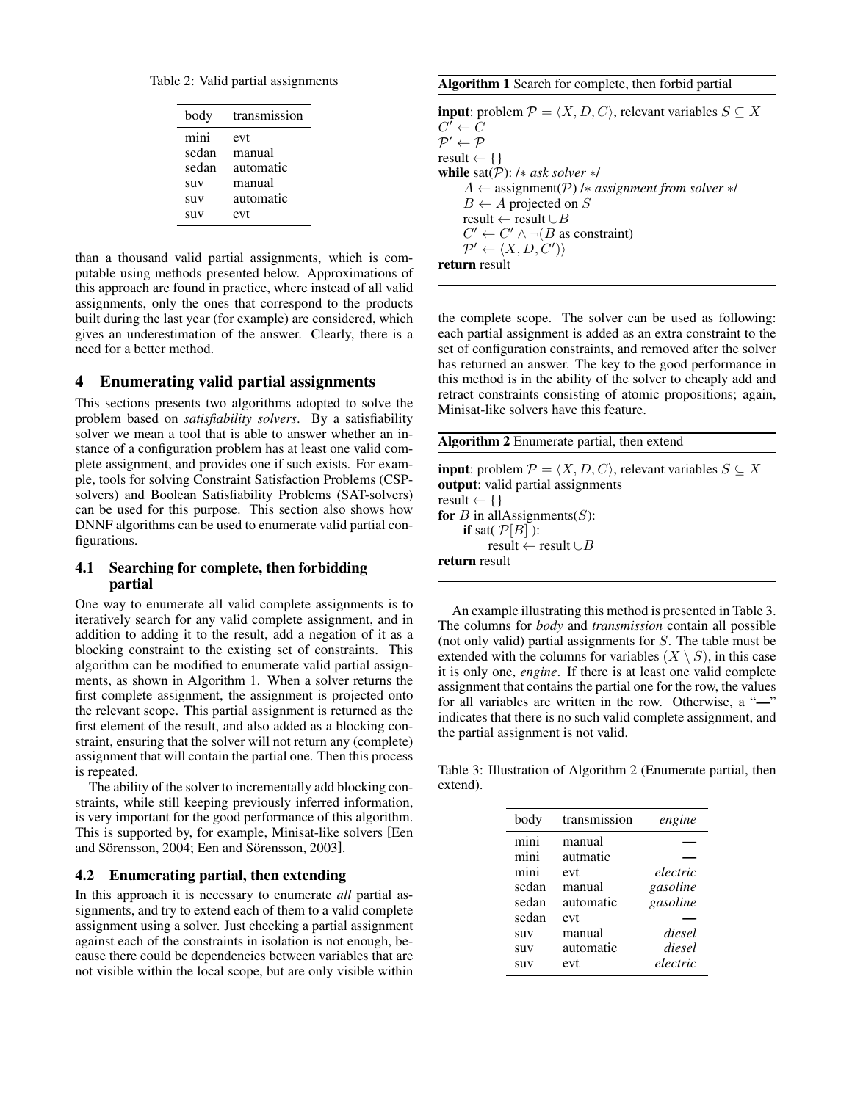<span id="page-2-2"></span>Table 2: Valid partial assignments

| body       | transmission |
|------------|--------------|
| mini       | evt          |
| sedan      | manual       |
| sedan      | automatic    |
| <b>SUV</b> | manual       |
| <b>SUV</b> | automatic    |
| <b>SUV</b> | evt          |

than a thousand valid partial assignments, which is computable using methods presented below. Approximations of this approach are found in practice, where instead of all valid assignments, only the ones that correspond to the products built during the last year (for example) are considered, which gives an underestimation of the answer. Clearly, there is a need for a better method.

# <span id="page-2-1"></span>4 Enumerating valid partial assignments

This sections presents two algorithms adopted to solve the problem based on *satisfiability solvers*. By a satisfiability solver we mean a tool that is able to answer whether an instance of a configuration problem has at least one valid complete assignment, and provides one if such exists. For example, tools for solving Constraint Satisfaction Problems (CSPsolvers) and Boolean Satisfiability Problems (SAT-solvers) can be used for this purpose. This section also shows how DNNF algorithms can be used to enumerate valid partial configurations.

# <span id="page-2-0"></span>4.1 Searching for complete, then forbidding partial

One way to enumerate all valid complete assignments is to iteratively search for any valid complete assignment, and in addition to adding it to the result, add a negation of it as a blocking constraint to the existing set of constraints. This algorithm can be modified to enumerate valid partial assignments, as shown in Algorithm [1.](#page-0-0) When a solver returns the first complete assignment, the assignment is projected onto the relevant scope. This partial assignment is returned as the first element of the result, and also added as a blocking constraint, ensuring that the solver will not return any (complete) assignment that will contain the partial one. Then this process is repeated.

The ability of the solver to incrementally add blocking constraints, while still keeping previously inferred information, is very important for the good performance of this algorithm. This is supported by, for example, Minisat-like solvers [\[Een](#page-5-14) [and Sörensson, 2004;](#page-5-14) [Een and Sörensson, 2003\]](#page-5-15).

### 4.2 Enumerating partial, then extending

In this approach it is necessary to enumerate *all* partial assignments, and try to extend each of them to a valid complete assignment using a solver. Just checking a partial assignment against each of the constraints in isolation is not enough, because there could be dependencies between variables that are not visible within the local scope, but are only visible within

#### Algorithm 1 Search for complete, then forbid partial

**input**: problem  $\mathcal{P} = \langle X, D, C \rangle$ , relevant variables  $S \subseteq X$  $C^{\tilde\prime} \leftarrow \tilde C$  $\mathcal{P}' \leftarrow \mathcal{P}$ result  $\leftarrow \{\}$ while sat(P): /∗ *ask solver* ∗/ A ← assignment(P) /∗ *assignment from solver* ∗/  $B \leftarrow A$  projected on S result ← result  $\cup B$  $C' \leftarrow C' \land \neg(B \text{ as constraint})$  $\mathcal{P}' \leftarrow \langle X, D, C' \rangle$ return result

the complete scope. The solver can be used as following: each partial assignment is added as an extra constraint to the set of configuration constraints, and removed after the solver has returned an answer. The key to the good performance in this method is in the ability of the solver to cheaply add and retract constraints consisting of atomic propositions; again, Minisat-like solvers have this feature.

| <b>Algorithm 2</b> Enumerate partial, then extend                                                  |  |  |  |  |
|----------------------------------------------------------------------------------------------------|--|--|--|--|
| <b>input:</b> problem $\mathcal{P} = \langle X, D, C \rangle$ , relevant variables $S \subseteq X$ |  |  |  |  |
| <b>output:</b> valid partial assignments                                                           |  |  |  |  |
| result $\leftarrow \{\}$                                                                           |  |  |  |  |
| for <i>B</i> in allAssignments( <i>S</i> ):                                                        |  |  |  |  |
| <b>if</b> sat( $\mathcal{P}[B]$ ):                                                                 |  |  |  |  |
| result $\leftarrow$ result $\cup$ B                                                                |  |  |  |  |
| return result                                                                                      |  |  |  |  |

An example illustrating this method is presented in Table [3.](#page-2-3) The columns for *body* and *transmission* contain all possible (not only valid) partial assignments for S. The table must be extended with the columns for variables  $(X \setminus S)$ , in this case it is only one, *engine*. If there is at least one valid complete assignment that contains the partial one for the row, the values for all variables are written in the row. Otherwise, a "—" indicates that there is no such valid complete assignment, and the partial assignment is not valid.

<span id="page-2-3"></span>Table 3: Illustration of Algorithm [2](#page-0-0) (Enumerate partial, then extend).

| body  | transmission | engine   |
|-------|--------------|----------|
| mini  | manual       |          |
| mini  | autmatic     |          |
| mini  | evt          | electric |
| sedan | manual       | gasoline |
| sedan | automatic    | gasoline |
| sedan | evt          |          |
| suv   | manual       | diesel   |
| suv   | automatic    | diesel   |
| suv   | evt          | electric |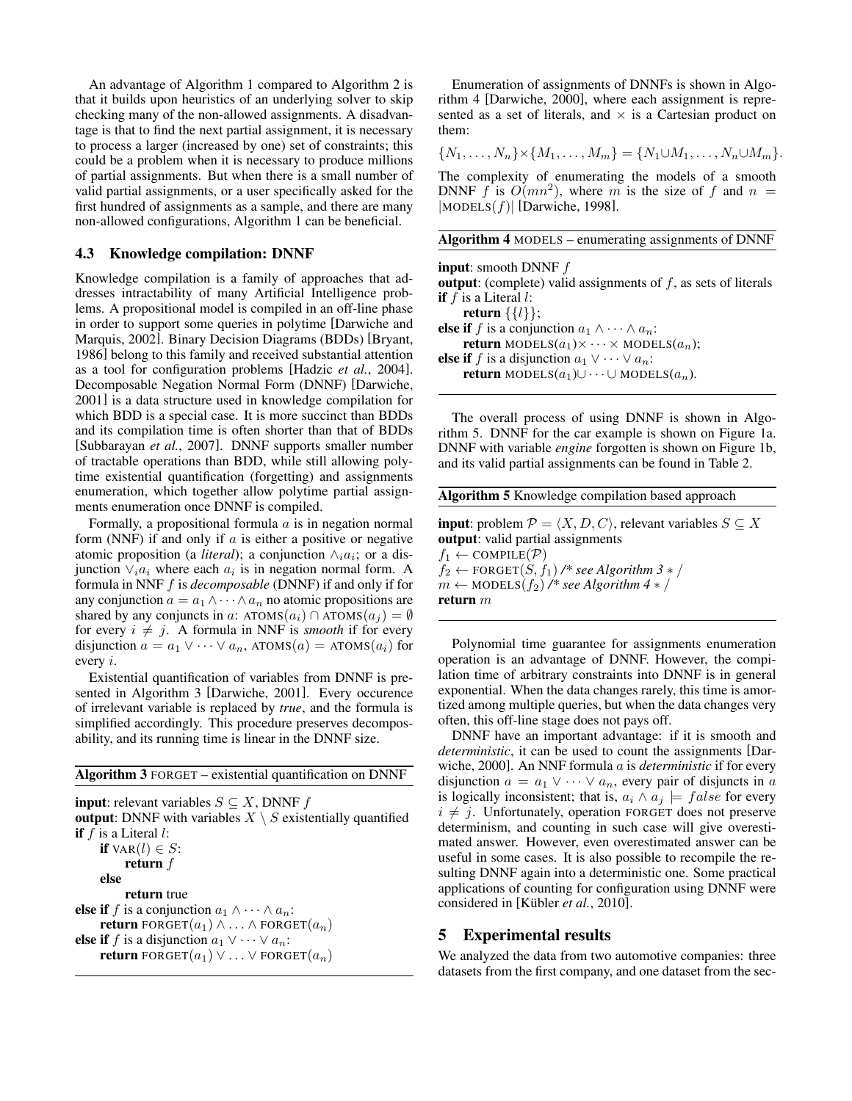An advantage of Algorithm [1](#page-0-0) compared to Algorithm [2](#page-0-0) is that it builds upon heuristics of an underlying solver to skip checking many of the non-allowed assignments. A disadvantage is that to find the next partial assignment, it is necessary to process a larger (increased by one) set of constraints; this could be a problem when it is necessary to produce millions of partial assignments. But when there is a small number of valid partial assignments, or a user specifically asked for the first hundred of assignments as a sample, and there are many non-allowed configurations, Algorithm [1](#page-0-0) can be beneficial.

# 4.3 Knowledge compilation: DNNF

Knowledge compilation is a family of approaches that addresses intractability of many Artificial Intelligence problems. A propositional model is compiled in an off-line phase in order to support some queries in polytime [\[Darwiche and](#page-5-6) [Marquis, 2002\]](#page-5-6). Binary Decision Diagrams (BDDs) [\[Bryant,](#page-5-5) [1986\]](#page-5-5) belong to this family and received substantial attention as a tool for configuration problems [\[Hadzic](#page-5-7) *et al.*, 2004]. Decomposable Negation Normal Form (DNNF) [\[Darwiche,](#page-5-16) [2001\]](#page-5-16) is a data structure used in knowledge compilation for which BDD is a special case. It is more succinct than BDDs and its compilation time is often shorter than that of BDDs [\[Subbarayan](#page-6-7) *et al.*, 2007]. DNNF supports smaller number of tractable operations than BDD, while still allowing polytime existential quantification (forgetting) and assignments enumeration, which together allow polytime partial assignments enumeration once DNNF is compiled.

Formally, a propositional formula  $\alpha$  is in negation normal form (NNF) if and only if  $\alpha$  is either a positive or negative atomic proposition (a *literal*); a conjunction  $\wedge_i a_i$ ; or a disjunction  $\vee_i a_i$  where each  $a_i$  is in negation normal form. A formula in NNF f is *decomposable* (DNNF) if and only if for any conjunction  $a = a_1 \wedge \cdots \wedge a_n$  no atomic propositions are shared by any conjuncts in a: ATOMS $(a_i) \cap$ ATOMS $(a_j) = \emptyset$ for every  $i \neq j$ . A formula in NNF is *smooth* if for every disjunction  $a = a_1 \vee \cdots \vee a_n$ , ATOMS $(a_i)$  = ATOMS $(a_i)$  for every i.

Existential quantification of variables from DNNF is presented in Algorithm [3](#page-0-0) [\[Darwiche, 2001\]](#page-5-16). Every occurence of irrelevant variable is replaced by *true*, and the formula is simplified accordingly. This procedure preserves decomposability, and its running time is linear in the DNNF size.

Algorithm 3 FORGET – existential quantification on DNNF

**input**: relevant variables  $S \subseteq X$ , DNNF f output: DNNF with variables  $X \setminus S$  existentially quantified if  $f$  is a Literal  $l$ : if  $\text{VAR}(l) \in S$ : return f else return true else if f is a conjunction  $a_1 \wedge \cdots \wedge a_n$ : **return** FORGET $(a_1) \wedge \ldots \wedge$  FORGET $(a_n)$ else if f is a disjunction  $a_1 \vee \cdots \vee a_n$ : **return** FORGET $(a_1) \vee \ldots \vee$  FORGET $(a_n)$ 

Enumeration of assignments of DNNFs is shown in Algorithm [4](#page-0-0) [\[Darwiche, 2000\]](#page-5-17), where each assignment is represented as a set of literals, and  $\times$  is a Cartesian product on them:

$$
\{N_1,\ldots,N_n\}\times\{M_1,\ldots,M_m\}=\{N_1\cup M_1,\ldots,N_n\cup M_m\}.
$$

The complexity of enumerating the models of a smooth DNNF f is  $O(mn^2)$ , where m is the size of f and  $n =$  $|$ MODELS $(f)|$  [\[Darwiche, 1998\]](#page-5-18).

#### Algorithm 4 MODELS – enumerating assignments of DNNF

input: smooth DNNF f **output**: (complete) valid assignments of  $f$ , as sets of literals if  $f$  is a Literal  $l$ : return  $\{\{l\}\};$ else if f is a conjunction  $a_1 \wedge \cdots \wedge a_n$ : **return** MODELS $(a_1) \times \cdots \times \text{MODELS}(a_n)$ ; else if f is a disjunction  $a_1 \vee \cdots \vee a_n$ : **return** MODELS $(a_1)$ ∪ · · · ∪ MODELS $(a_n)$ .

The overall process of using DNNF is shown in Algorithm [5.](#page-0-0) DNNF for the car example is shown on Figure [1a.](#page-4-1) DNNF with variable *engine* forgotten is shown on Figure [1b,](#page-4-2) and its valid partial assignments can be found in Table [2.](#page-2-2)

| <b>Algorithm 5</b> Knowledge compilation based approach                                                                                                                                |  |  |  |  |
|----------------------------------------------------------------------------------------------------------------------------------------------------------------------------------------|--|--|--|--|
| <b>input</b> : problem $P = \langle X, D, C \rangle$ , relevant variables $S \subseteq X$<br><b>output</b> : valid partial assignments<br>$f_1 \leftarrow \text{COMPILE}(\mathcal{P})$ |  |  |  |  |
| $f_2 \leftarrow$ FORGET $(S, f_1)$ /* see Algorithm 3 $*/$                                                                                                                             |  |  |  |  |
| $m \leftarrow \text{MODELS}(f_2)$ /* see Algorithm 4 $*$ /<br>return $m$                                                                                                               |  |  |  |  |

Polynomial time guarantee for assignments enumeration operation is an advantage of DNNF. However, the compilation time of arbitrary constraints into DNNF is in general exponential. When the data changes rarely, this time is amortized among multiple queries, but when the data changes very often, this off-line stage does not pays off.

DNNF have an important advantage: if it is smooth and *deterministic*, it can be used to count the assignments [\[Dar](#page-5-17)[wiche, 2000\]](#page-5-17). An NNF formula a is *deterministic* if for every disjunction  $a = a_1 \vee \cdots \vee a_n$ , every pair of disjuncts in a is logically inconsistent; that is,  $a_i \wedge a_j \models false$  for every  $i \neq j$ . Unfortunately, operation FORGET does not preserve determinism, and counting in such case will give overestimated answer. However, even overestimated answer can be useful in some cases. It is also possible to recompile the resulting DNNF again into a deterministic one. Some practical applications of counting for configuration using DNNF were considered in [\[Kübler](#page-5-9) *et al.*, 2010].

### <span id="page-3-0"></span>5 Experimental results

We analyzed the data from two automotive companies: three datasets from the first company, and one dataset from the sec-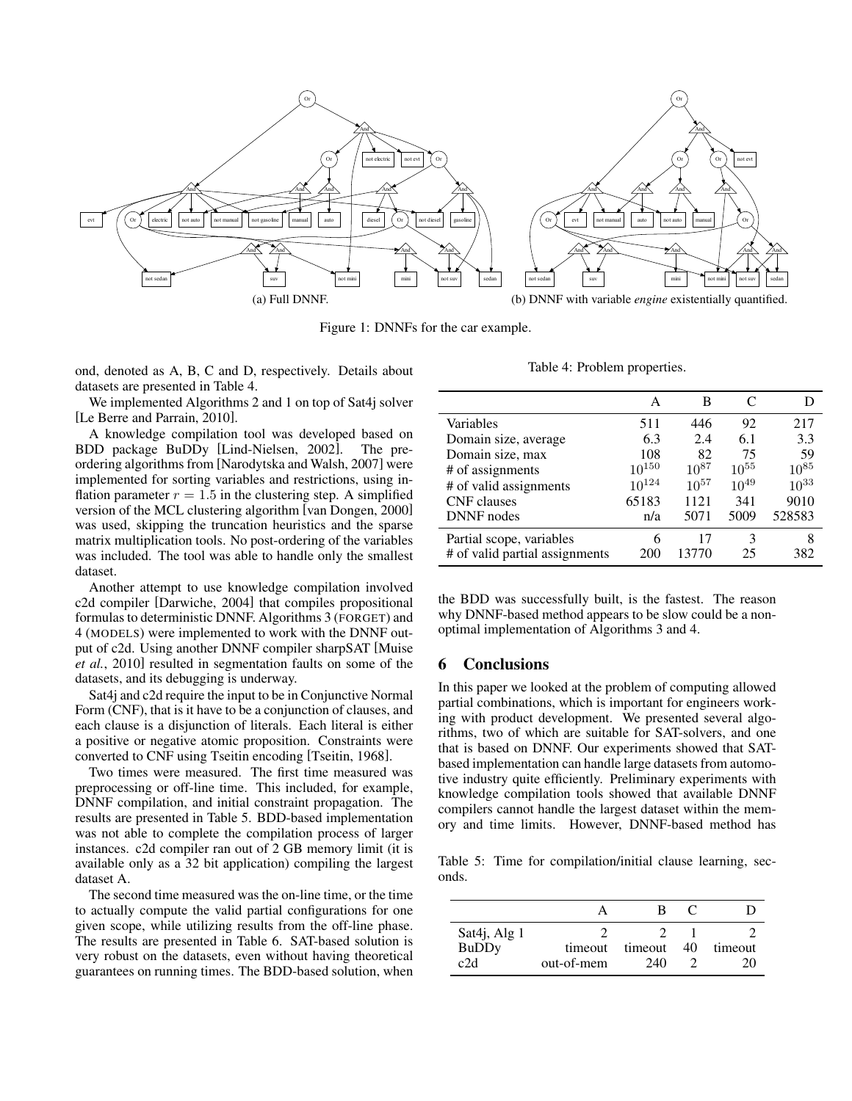<span id="page-4-1"></span>

Figure 1: DNNFs for the car example.

ond, denoted as A, B, C and D, respectively. Details about datasets are presented in Table [4.](#page-4-3)

We implemented Algorithms [2](#page-0-0) and [1](#page-0-0) on top of Sat4j solver [\[Le Berre and Parrain, 2010\]](#page-5-19).

A knowledge compilation tool was developed based on BDD package BuDDy [\[Lind-Nielsen, 2002\]](#page-5-20). The preordering algorithms from [\[Narodytska and Walsh, 2007\]](#page-5-21) were implemented for sorting variables and restrictions, using inflation parameter  $r = 1.5$  in the clustering step. A simplified version of the MCL clustering algorithm [\[van Dongen, 2000\]](#page-6-8) was used, skipping the truncation heuristics and the sparse matrix multiplication tools. No post-ordering of the variables was included. The tool was able to handle only the smallest dataset.

Another attempt to use knowledge compilation involved c2d compiler [\[Darwiche, 2004\]](#page-5-22) that compiles propositional formulas to deterministic DNNF. Algorithms [3](#page-0-0) (FORGET) and [4](#page-0-0) (MODELS) were implemented to work with the DNNF output of c2d. Using another DNNF compiler sharpSAT [\[Muise](#page-5-23) *et al.*[, 2010\]](#page-5-23) resulted in segmentation faults on some of the datasets, and its debugging is underway.

Sat4j and c2d require the input to be in Conjunctive Normal Form (CNF), that is it have to be a conjunction of clauses, and each clause is a disjunction of literals. Each literal is either a positive or negative atomic proposition. Constraints were converted to CNF using Tseitin encoding [\[Tseitin, 1968\]](#page-6-9).

Two times were measured. The first time measured was preprocessing or off-line time. This included, for example, DNNF compilation, and initial constraint propagation. The results are presented in Table [5.](#page-4-4) BDD-based implementation was not able to complete the compilation process of larger instances. c2d compiler ran out of 2 GB memory limit (it is available only as a 32 bit application) compiling the largest dataset A.

The second time measured was the on-line time, or the time to actually compute the valid partial configurations for one given scope, while utilizing results from the off-line phase. The results are presented in Table [6.](#page-5-24) SAT-based solution is very robust on the datasets, even without having theoretical guarantees on running times. The BDD-based solution, when

<span id="page-4-2"></span>Table 4: Problem properties.

<span id="page-4-3"></span>

|                                | А          | в         | C         |           |
|--------------------------------|------------|-----------|-----------|-----------|
| Variables                      | 511        | 446       | 92        | 217       |
| Domain size, average           | 6.3        | 2.4       | 6.1       | 3.3       |
| Domain size, max               | 108        | 82        | 75        | 59        |
| # of assignments               | $10^{150}$ | $10^{87}$ | $10^{55}$ | $10^{85}$ |
| # of valid assignments         | $10^{124}$ | $10^{57}$ | $10^{49}$ | $10^{33}$ |
| <b>CNF</b> clauses             | 65183      | 1121      | 341       | 9010      |
| <b>DNNF</b> nodes              | n/a        | 5071      | 5009      | 528583    |
| Partial scope, variables       | 6          | 17        | 3         | 8         |
| # of valid partial assignments | 200        | 13770     | 25        | 382       |

the BDD was successfully built, is the fastest. The reason why DNNF-based method appears to be slow could be a nonoptimal implementation of Algorithms [3](#page-0-0) and [4.](#page-0-0)

# <span id="page-4-0"></span>6 Conclusions

In this paper we looked at the problem of computing allowed partial combinations, which is important for engineers working with product development. We presented several algorithms, two of which are suitable for SAT-solvers, and one that is based on DNNF. Our experiments showed that SATbased implementation can handle large datasets from automotive industry quite efficiently. Preliminary experiments with knowledge compilation tools showed that available DNNF compilers cannot handle the largest dataset within the memory and time limits. However, DNNF-based method has

<span id="page-4-4"></span>Table 5: Time for compilation/initial clause learning, seconds.

| Sat4j, Alg 1<br><b>BuDDy</b><br>c2d | timeout<br>out-of-mem | timeout<br>240 | 40 | timeout<br>20 |
|-------------------------------------|-----------------------|----------------|----|---------------|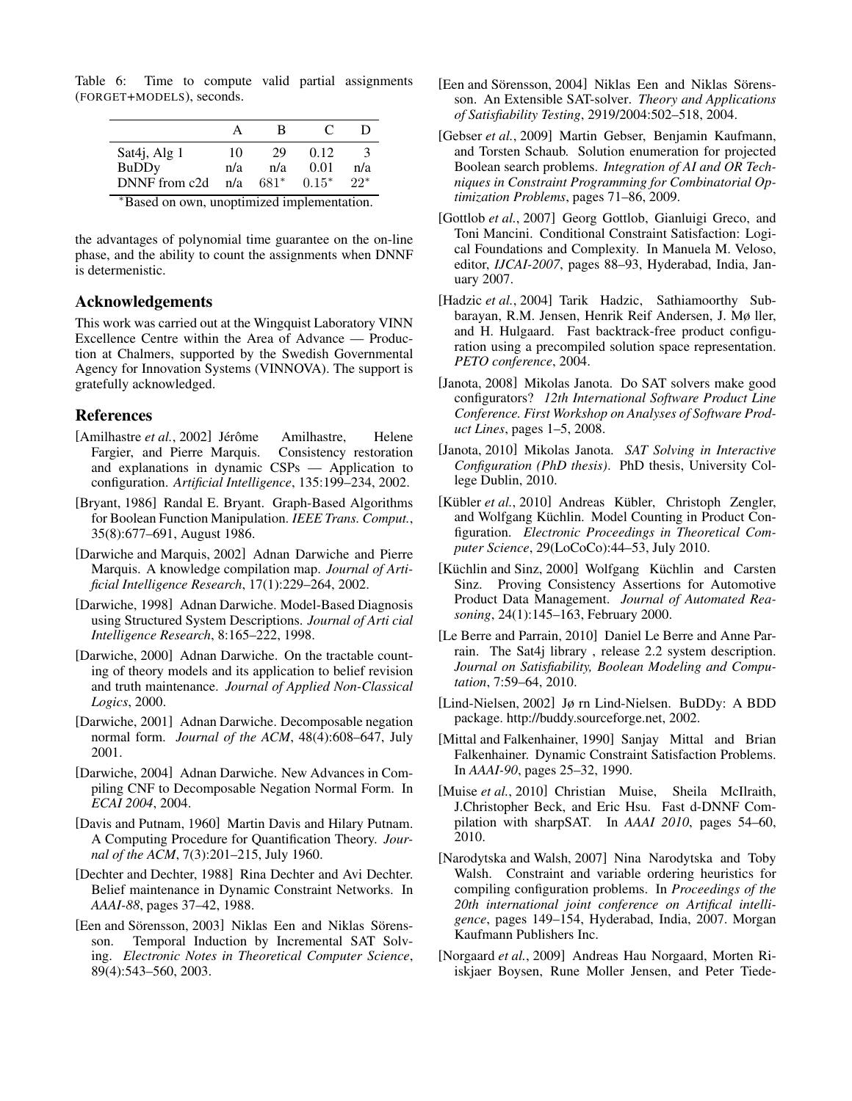<span id="page-5-24"></span>Table 6: Time to compute valid partial assignments (FORGET+MODELS), seconds.

|                                               |     | в      | $\mathbf{C}$ |       |  |
|-----------------------------------------------|-----|--------|--------------|-------|--|
| Sat4j, Alg 1                                  | 10  | 29     | 0.12         |       |  |
| <b>BuDDy</b>                                  | n/a | n/a    | 0.01         | n/a   |  |
| DNNF from c2d                                 | n/a | $681*$ | $0.15*$      | $22*$ |  |
| $*D_{good}$ on our unontimized implementation |     |        |              |       |  |

Based on own, unoptimized implementation.

the advantages of polynomial time guarantee on the on-line phase, and the ability to count the assignments when DNNF is determenistic.

# Acknowledgements

This work was carried out at the Wingquist Laboratory VINN Excellence Centre within the Area of Advance — Production at Chalmers, supported by the Swedish Governmental Agency for Innovation Systems (VINNOVA). The support is gratefully acknowledged.

# References

- <span id="page-5-8"></span>[Amilhastre *et al.*, 2002] Jérôme Amilhastre, Helene Fargier, and Pierre Marquis. Consistency restoration and explanations in dynamic CSPs — Application to configuration. *Artificial Intelligence*, 135:199–234, 2002.
- <span id="page-5-5"></span>[Bryant, 1986] Randal E. Bryant. Graph-Based Algorithms for Boolean Function Manipulation. *IEEE Trans. Comput.*, 35(8):677–691, August 1986.
- <span id="page-5-6"></span>[Darwiche and Marquis, 2002] Adnan Darwiche and Pierre Marquis. A knowledge compilation map. *Journal of Artificial Intelligence Research*, 17(1):229–264, 2002.
- <span id="page-5-18"></span>[Darwiche, 1998] Adnan Darwiche. Model-Based Diagnosis using Structured System Descriptions. *Journal of Arti cial Intelligence Research*, 8:165–222, 1998.
- <span id="page-5-17"></span>[Darwiche, 2000] Adnan Darwiche. On the tractable counting of theory models and its application to belief revision and truth maintenance. *Journal of Applied Non-Classical Logics*, 2000.
- <span id="page-5-16"></span>[Darwiche, 2001] Adnan Darwiche. Decomposable negation normal form. *Journal of the ACM*, 48(4):608–647, July 2001.
- <span id="page-5-22"></span>[Darwiche, 2004] Adnan Darwiche. New Advances in Compiling CNF to Decomposable Negation Normal Form. In *ECAI 2004*, 2004.
- <span id="page-5-0"></span>[Davis and Putnam, 1960] Martin Davis and Hilary Putnam. A Computing Procedure for Quantification Theory. *Journal of the ACM*, 7(3):201–215, July 1960.
- <span id="page-5-2"></span>[Dechter and Dechter, 1988] Rina Dechter and Avi Dechter. Belief maintenance in Dynamic Constraint Networks. In *AAAI-88*, pages 37–42, 1988.
- <span id="page-5-15"></span>[Een and Sörensson, 2003] Niklas Een and Niklas Sörensson. Temporal Induction by Incremental SAT Solving. *Electronic Notes in Theoretical Computer Science*, 89(4):543–560, 2003.
- <span id="page-5-14"></span>[Een and Sörensson, 2004] Niklas Een and Niklas Sörensson. An Extensible SAT-solver. *Theory and Applications of Satisfiability Testing*, 2919/2004:502–518, 2004.
- <span id="page-5-1"></span>[Gebser *et al.*, 2009] Martin Gebser, Benjamin Kaufmann, and Torsten Schaub. Solution enumeration for projected Boolean search problems. *Integration of AI and OR Techniques in Constraint Programming for Combinatorial Optimization Problems*, pages 71–86, 2009.
- <span id="page-5-4"></span>[Gottlob *et al.*, 2007] Georg Gottlob, Gianluigi Greco, and Toni Mancini. Conditional Constraint Satisfaction: Logical Foundations and Complexity. In Manuela M. Veloso, editor, *IJCAI-2007*, pages 88–93, Hyderabad, India, January 2007.
- <span id="page-5-7"></span>[Hadzic *et al.*, 2004] Tarik Hadzic, Sathiamoorthy Subbarayan, R.M. Jensen, Henrik Reif Andersen, J. Mø ller, and H. Hulgaard. Fast backtrack-free product configuration using a precompiled solution space representation. *PETO conference*, 2004.
- <span id="page-5-12"></span>[Janota, 2008] Mikolas Janota. Do SAT solvers make good configurators? *12th International Software Product Line Conference. First Workshop on Analyses of Software Product Lines*, pages 1–5, 2008.
- <span id="page-5-13"></span>[Janota, 2010] Mikolas Janota. *SAT Solving in Interactive Configuration (PhD thesis)*. PhD thesis, University College Dublin, 2010.
- <span id="page-5-9"></span>[Kübler *et al.*, 2010] Andreas Kübler, Christoph Zengler, and Wolfgang Küchlin. Model Counting in Product Configuration. *Electronic Proceedings in Theoretical Computer Science*, 29(LoCoCo):44–53, July 2010.
- <span id="page-5-11"></span>[Küchlin and Sinz, 2000] Wolfgang Küchlin and Carsten Sinz. Proving Consistency Assertions for Automotive Product Data Management. *Journal of Automated Reasoning*, 24(1):145–163, February 2000.
- <span id="page-5-19"></span>[Le Berre and Parrain, 2010] Daniel Le Berre and Anne Parrain. The Sat4j library , release 2.2 system description. *Journal on Satisfiability, Boolean Modeling and Computation*, 7:59–64, 2010.
- <span id="page-5-20"></span>[Lind-Nielsen, 2002] Jø rn Lind-Nielsen. BuDDy: A BDD package. http://buddy.sourceforge.net, 2002.
- <span id="page-5-3"></span>[Mittal and Falkenhainer, 1990] Sanjay Mittal and Brian Falkenhainer. Dynamic Constraint Satisfaction Problems. In *AAAI-90*, pages 25–32, 1990.
- <span id="page-5-23"></span>[Muise *et al.*, 2010] Christian Muise, Sheila McIlraith, J.Christopher Beck, and Eric Hsu. Fast d-DNNF Compilation with sharpSAT. In *AAAI 2010*, pages 54–60, 2010.
- <span id="page-5-21"></span>[Narodytska and Walsh, 2007] Nina Narodytska and Toby Walsh. Constraint and variable ordering heuristics for compiling configuration problems. In *Proceedings of the 20th international joint conference on Artifical intelligence*, pages 149–154, Hyderabad, India, 2007. Morgan Kaufmann Publishers Inc.
- <span id="page-5-10"></span>[Norgaard *et al.*, 2009] Andreas Hau Norgaard, Morten Riiskjaer Boysen, Rune Moller Jensen, and Peter Tiede-